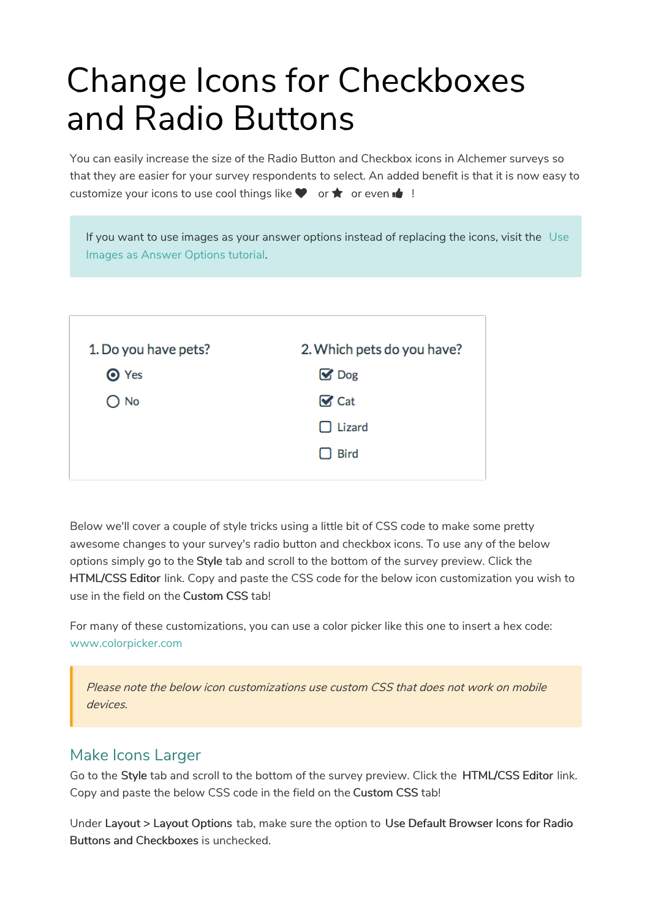# Change Icons for Checkboxes and Radio Buttons

You can easily increase the size of the Radio Button and Checkbox icons in Alchemer surveys so that they are easier for your survey respondents to select. An added benefit is that it is now easy to customize your icons to use cool things like  $\blacklozenge$  or  $\bigstar$  or even  $\bigstar$ !

| If you want to use images as your answer options instead of replacing the icons, visit the Use<br>Images as Answer Options tutorial. |                            |  |
|--------------------------------------------------------------------------------------------------------------------------------------|----------------------------|--|
|                                                                                                                                      |                            |  |
| 1. Do you have pets?                                                                                                                 | 2. Which pets do you have? |  |
| O Yes                                                                                                                                | $\mathbf{\nabla}$ Dog      |  |
| No                                                                                                                                   | $\mathbf{\nabla}$ Cat      |  |
|                                                                                                                                      | $\Box$ Lizard              |  |
|                                                                                                                                      | <b>Bird</b>                |  |
|                                                                                                                                      |                            |  |

Below we'll cover a couple of style tricks using a little bit of CSS code to make some pretty awesome changes to your survey's radio button and checkbox icons. To use any of the below options simply go to the Style tab and scroll to the bottom of the survey preview. Click the HTML/CSS Editor link. Copy and paste the CSS code for the below icon customization you wish to use in the field on the Custom CSS tab!

For many of these customizations, you can use a color picker like this one to insert a hex code: www.colorpicker.com

Please note the below icon customizations use custom CSS that does not work on mobile devices.

# Make Icons Larger

Go to the Style tab and scroll to the bottom of the survey preview. Click the HTML/CSS Editor link. Copy and paste the below CSS code in the field on the Custom CSS tab!

Under Layout > Layout Options tab, make sure the option to Use Default Browser Icons for Radio Buttons and Checkboxes is unchecked.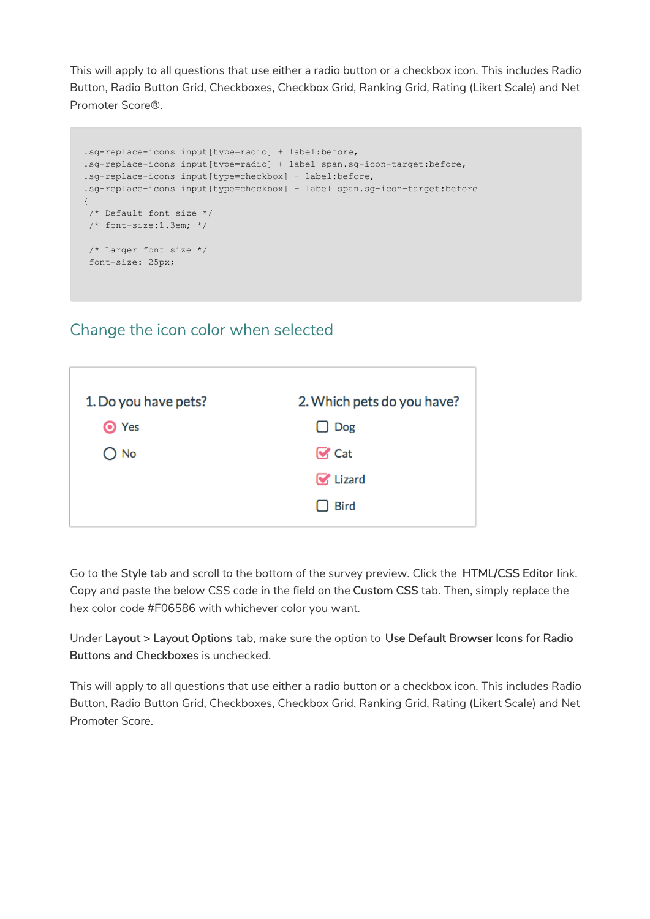This will apply to all questions that use either a radio button or a checkbox icon. This includes Radio Button, Radio Button Grid, Checkboxes, Checkbox Grid, Ranking Grid, Rating (Likert Scale) and Net Promoter Score®.

```
.sg-replace-icons input[type=radio] + label:before,
.sg-replace-icons input[type=radio] + label span.sg-icon-target:before,
.sg-replace-icons input[type=checkbox] + label:before,
.sg-replace-icons input[type=checkbox] + label span.sg-icon-target:before
{
/* Default font size */
/* font-size:1.3em; */
/* Larger font size */
font-size: 25px;
}
```
# Change the icon color when selected



Go to the Style tab and scroll to the bottom of the survey preview. Click the HTML/CSS Editor link. Copy and paste the below CSS code in the field on the Custom CSS tab. Then, simply replace the hex color code #F06586 with whichever color you want.

Under Layout > Layout Options tab, make sure the option to Use Default Browser Icons for Radio Buttons and Checkboxes is unchecked.

This will apply to all questions that use either a radio button or a checkbox icon. This includes Radio Button, Radio Button Grid, Checkboxes, Checkbox Grid, Ranking Grid, Rating (Likert Scale) and Net Promoter Score.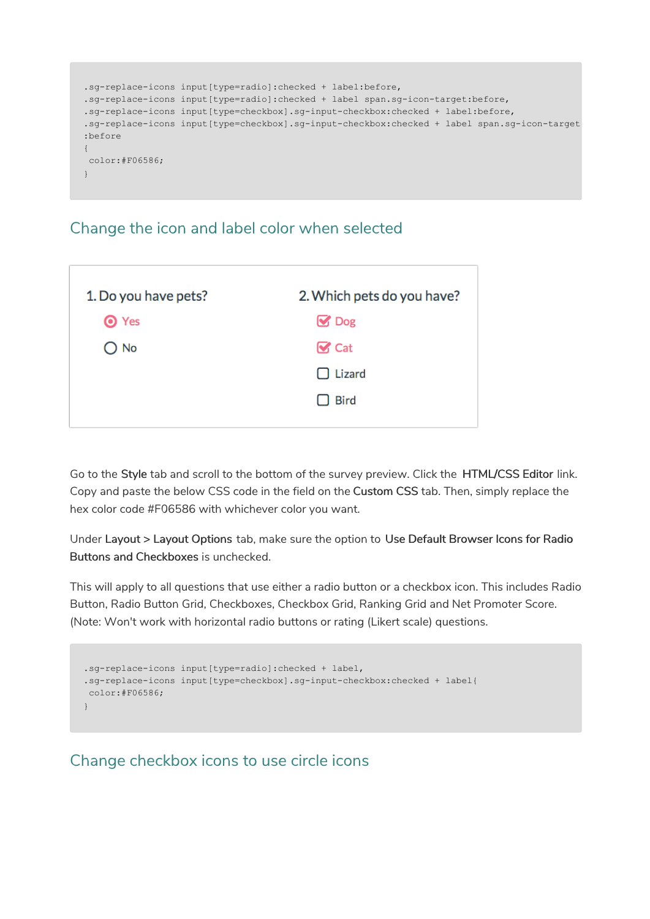```
.sg-replace-icons input[type=radio]:checked + label:before,
.sg-replace-icons input[type=radio]:checked + label span.sg-icon-target:before,
.sg-replace-icons input[type=checkbox].sg-input-checkbox:checked + label:before,
.sg-replace-icons input[type=checkbox].sg-input-checkbox:checked + label span.sg-icon-target
:before
{
color:#F06586;
}
```
## Change the icon and label color when selected

| 1. Do you have pets? | 2. Which pets do you have? |  |
|----------------------|----------------------------|--|
| <b>O</b> Yes         | $\mathbf{\mathcal{C}}$ Dog |  |
| $\bigcirc$ No        | $\mathbf{\nabla}$ Cat      |  |
|                      | $\Box$ Lizard              |  |
|                      | $\Box$ Bird                |  |
|                      |                            |  |

Go to the Style tab and scroll to the bottom of the survey preview. Click the HTML/CSS Editor link. Copy and paste the below CSS code in the field on the Custom CSS tab. Then, simply replace the hex color code #F06586 with whichever color you want.

Under Layout > Layout Options tab, make sure the option to Use Default Browser Icons for Radio Buttons and Checkboxes is unchecked.

This will apply to all questions that use either a radio button or a checkbox icon. This includes Radio Button, Radio Button Grid, Checkboxes, Checkbox Grid, Ranking Grid and Net Promoter Score. (Note: Won't work with horizontal radio buttons or rating (Likert scale) questions.

```
.sg-replace-icons input[type=radio]:checked + label,
.sg-replace-icons input[type=checkbox].sg-input-checkbox:checked + label{
color:#F06586;
}
```
# Change checkbox icons to use circle icons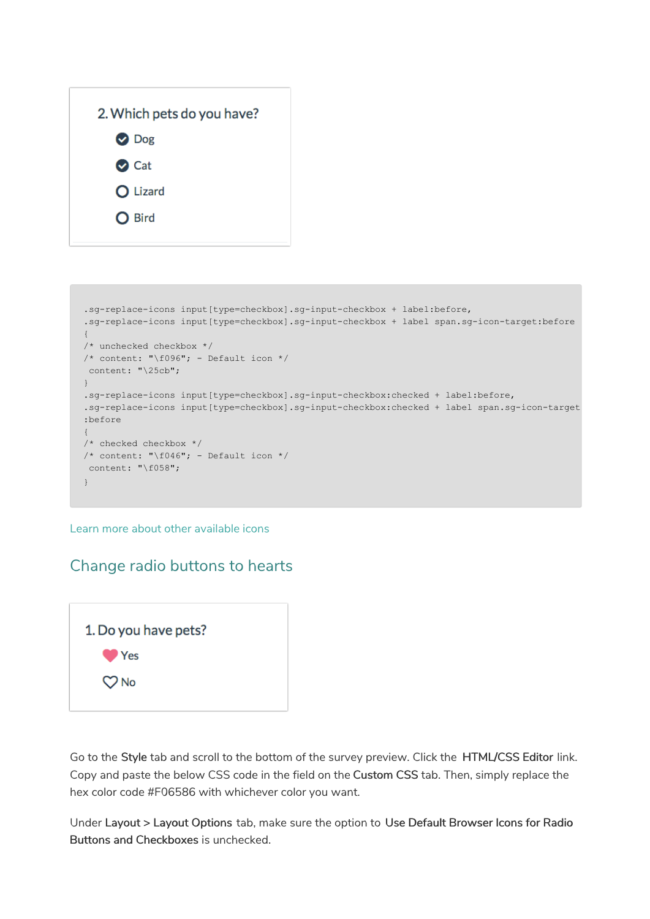| 2. Which pets do you have? |
|----------------------------|
| O Dog                      |
| O Cat                      |
| O Lizard                   |
| O Bird                     |
|                            |

```
.sg-replace-icons input[type=checkbox].sg-input-checkbox + label:before,
.sg-replace-icons input[type=checkbox].sg-input-checkbox + label span.sg-icon-target:before
{
/* unchecked checkbox */
/* content: "\f096"; - Default icon */
content: "\25cb";
}
.sg-replace-icons input[type=checkbox].sg-input-checkbox:checked + label:before,
.sg-replace-icons input[type=checkbox].sg-input-checkbox:checked + label span.sg-icon-target
:before
{
/* checked checkbox */
/* content: "\f046"; - Default icon */
content: "\f058";
}
```
Learn more about other available icons

# Change radio buttons to hearts



Go to the Style tab and scroll to the bottom of the survey preview. Click the HTML/CSS Editor link. Copy and paste the below CSS code in the field on the Custom CSS tab. Then, simply replace the hex color code #F06586 with whichever color you want.

Under Layout > Layout Options tab, make sure the option to Use Default Browser Icons for Radio Buttons and Checkboxes is unchecked.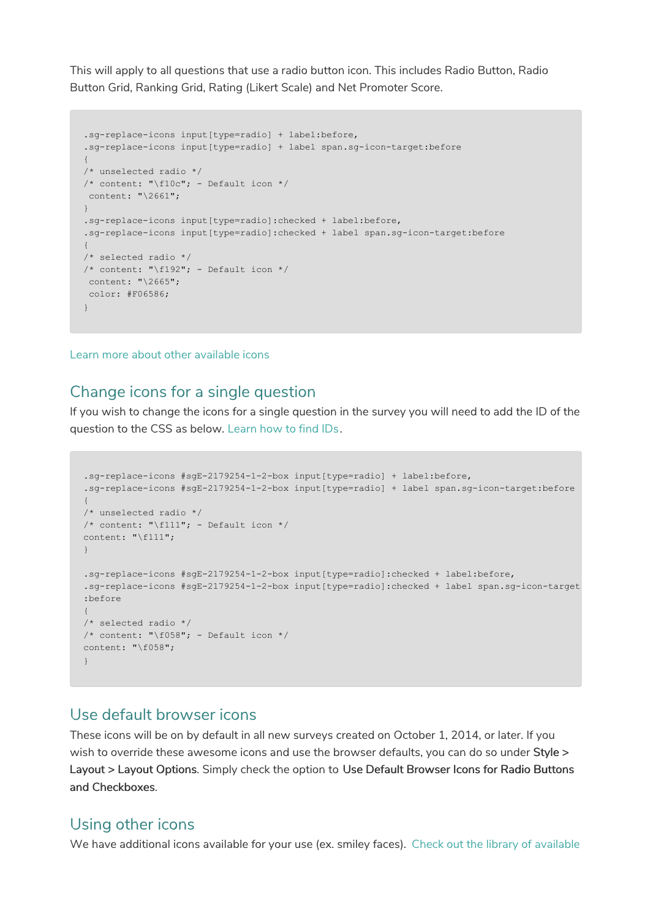This will apply to all questions that use a radio button icon. This includes Radio Button, Radio Button Grid, Ranking Grid, Rating (Likert Scale) and Net Promoter Score.

```
.sg-replace-icons input[type=radio] + label:before,
.sg-replace-icons input[type=radio] + label span.sg-icon-target:before
{
/* unselected radio */
/* content: "\f10c"; - Default icon */
content: "\2661";
}
.sg-replace-icons input[type=radio]:checked + label:before,
.sg-replace-icons input[type=radio]:checked + label span.sg-icon-target:before
{
/* selected radio */
/* content: "\f192"; - Default icon */
content: "\2665";
color: #F06586;
}
```
Learn more about other available icons

### Change icons for a single question

If you wish to change the icons for a single question in the survey you will need to add the ID of the question to the CSS as below. Learn how to find IDs.

```
.sg-replace-icons #sgE-2179254-1-2-box input[type=radio] + label:before,
.sg-replace-icons #sgE-2179254-1-2-box input[type=radio] + label span.sg-icon-target:before
{
/* unselected radio */
/* content: "\f111"; - Default icon */
content: "\f111";
}
.sg-replace-icons #sgE-2179254-1-2-box input[type=radio]:checked + label:before,
.sg-replace-icons #sgE-2179254-1-2-box input[type=radio]:checked + label span.sg-icon-target
:before
{
/* selected radio */
/* content: "\f058"; - Default icon */
content: "\f058";
}
```
#### Use default browser icons

These icons will be on by default in all new surveys created on October 1, 2014, or later. If you wish to override these awesome icons and use the browser defaults, you can do so under Style > Layout > Layout Options. Simply check the option to Use Default Browser Icons for Radio Buttons and Checkboxes.

#### Using other icons

We have additional icons available for your use (ex. smiley faces). Check out the library of available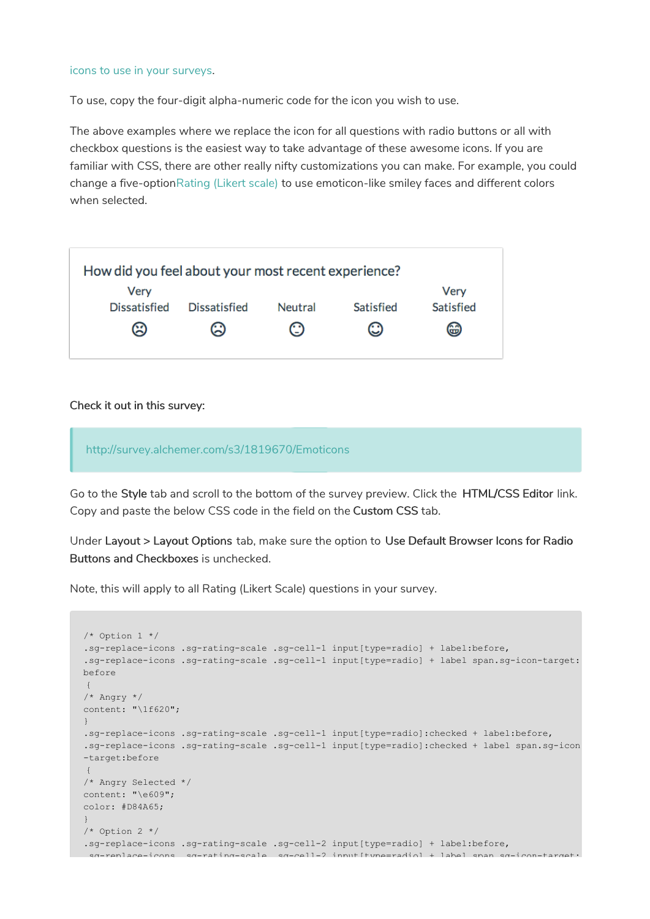#### icons to use in your surveys.

To use, copy the four-digit alpha-numeric code for the icon you wish to use.

The above examples where we replace the icon for all questions with radio buttons or all with checkbox questions is the easiest way to take advantage of these awesome icons. If you are familiar with CSS, there are other really nifty customizations you can make. For example, you could change a five-optionRating (Likert scale) to use emoticon-like smiley faces and different colors when selected.



#### Check it out in this survey:

http://survey.alchemer.com/s3/1819670/Emoticons

Go to the Style tab and scroll to the bottom of the survey preview. Click the HTML/CSS Editor link. Copy and paste the below CSS code in the field on the Custom CSS tab.

Under Layout > Layout Options tab, make sure the option to Use Default Browser Icons for Radio Buttons and Checkboxes is unchecked.

Note, this will apply to all Rating (Likert Scale) questions in your survey.

```
/* Option 1 */
.sg-replace-icons .sg-rating-scale .sg-cell-1 input[type=radio] + label:before,
.sg-replace-icons .sg-rating-scale .sg-cell-1 input[type=radio] + label span.sg-icon-target:
before
{
/* Angry */
content: "\1f620";
}
.sg-replace-icons .sg-rating-scale .sg-cell-1 input[type=radio]:checked + label:before,
.sg-replace-icons .sg-rating-scale .sg-cell-1 input[type=radio]:checked + label span.sg-icon
-target:before
{
/* Angry Selected */
content: "\e609";
color: #D84A65;
}
/* Option 2 */.sg-replace-icons .sg-rating-scale .sg-cell-2 input[type=radio] + label:before,
 .sg-replace-icons .sg-rating-scale .sg-cell-2 input[type=radio] + label span.sg-icon-target:
```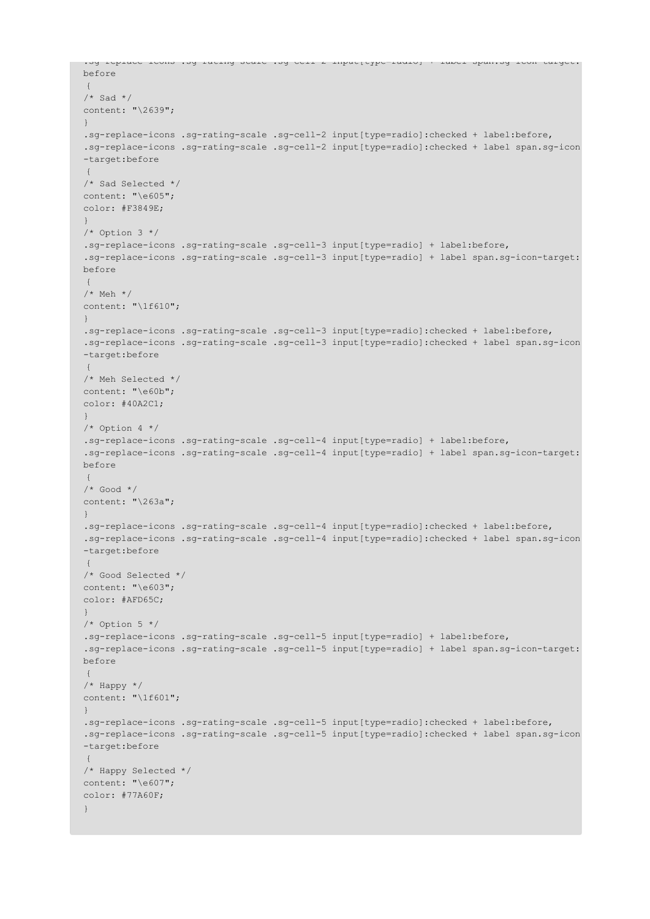```
.sg-replace-icons .sg-rating-scale .sg-cell-2 input[type=radio] + label span.sg-icon-target:
before
{
/* Sad */content: "\2639";
}
.sg-replace-icons .sg-rating-scale .sg-cell-2 input[type=radio]:checked + label:before,
.sg-replace-icons .sg-rating-scale .sg-cell-2 input[type=radio]:checked + label span.sg-icon
-target:before
{
/* Sad Selected */
content: "\e605";
color: #F3849E;
}
/* Option 3 */
.sg-replace-icons .sg-rating-scale .sg-cell-3 input[type=radio] + label:before,
.sg-replace-icons .sg-rating-scale .sg-cell-3 input[type=radio] + label span.sg-icon-target:
before
{
/* Meh */content: "\1f610";
}
.sg-replace-icons .sg-rating-scale .sg-cell-3 input[type=radio]:checked + label:before,
.sg-replace-icons .sg-rating-scale .sg-cell-3 input[type=radio]:checked + label span.sg-icon
-target:before
{
/* Meh Selected */
content: "\e60b";
color: #40A2C1;
}
/* Option 4 */
.sg-replace-icons .sg-rating-scale .sg-cell-4 input[type=radio] + label:before,
.sg-replace-icons .sg-rating-scale .sg-cell-4 input[type=radio] + label span.sg-icon-target:
before
\left| \cdot \right|/* Good */
content: "\263a";
}
.sg-replace-icons .sg-rating-scale .sg-cell-4 input[type=radio]:checked + label:before,
.sg-replace-icons .sg-rating-scale .sg-cell-4 input[type=radio]:checked + label span.sg-icon
-target:before
{
/* Good Selected */
content: "\e603";
color: #AFD65C;
}
/* Option 5 */
.sg-replace-icons .sg-rating-scale .sg-cell-5 input[type=radio] + label:before,
.sg-replace-icons .sg-rating-scale .sg-cell-5 input[type=radio] + label span.sg-icon-target:
before
{
/* Happy */
content: "\1f601";
}
.sg-replace-icons .sg-rating-scale .sg-cell-5 input[type=radio]:checked + label:before,
.sg-replace-icons .sg-rating-scale .sg-cell-5 input[type=radio]:checked + label span.sg-icon
-target:before
{
/* Happy Selected */
content: "\e607";
color: #77A60F;
}
```